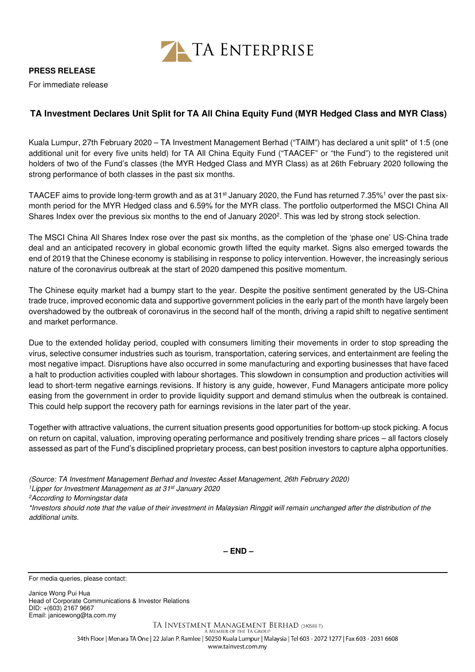

## **PRESS RELEASE**

For immediate release

## **TA Investment Declares Unit Split for TA All China Equity Fund (MYR Hedged Class and MYR Class)**

Kuala Lumpur, 27th February 2020 – TA Investment Management Berhad ("TAIM") has declared a unit split\* of 1:5 (one additional unit for every five units held) for TA All China Equity Fund ("TAACEF" or "the Fund") to the registered unit holders of two of the Fund's classes (the MYR Hedged Class and MYR Class) as at 26th February 2020 following the strong performance of both classes in the past six months.

TAACEF aims to provide long-term growth and as at 31st January 2020, the Fund has returned 7.35%<sup>1</sup> over the past sixmonth period for the MYR Hedged class and 6.59% for the MYR class. The portfolio outperformed the MSCI China All Shares Index over the previous six months to the end of January 2020<sup>2</sup>. This was led by strong stock selection.

The MSCI China All Shares Index rose over the past six months, as the completion of the 'phase one' US-China trade deal and an anticipated recovery in global economic growth lifted the equity market. Signs also emerged towards the end of 2019 that the Chinese economy is stabilising in response to policy intervention. However, the increasingly serious nature of the coronavirus outbreak at the start of 2020 dampened this positive momentum.

The Chinese equity market had a bumpy start to the year. Despite the positive sentiment generated by the US-China trade truce, improved economic data and supportive government policies in the early part of the month have largely been overshadowed by the outbreak of coronavirus in the second half of the month, driving a rapid shift to negative sentiment and market performance.

Due to the extended holiday period, coupled with consumers limiting their movements in order to stop spreading the virus, selective consumer industries such as tourism, transportation, catering services, and entertainment are feeling the most negative impact. Disruptions have also occurred in some manufacturing and exporting businesses that have faced a halt to production activities coupled with labour shortages. This slowdown in consumption and production activities will lead to short-term negative earnings revisions. If history is any guide, however, Fund Managers anticipate more policy easing from the government in order to provide liquidity support and demand stimulus when the outbreak is contained. This could help support the recovery path for earnings revisions in the later part of the year.

Together with attractive valuations, the current situation presents good opportunities for bottom-up stock picking. A focus on return on capital, valuation, improving operating performance and positively trending share prices – all factors closely assessed as part of the Fund's disciplined proprietary process, can best position investors to capture alpha opportunities.

- (Source: TA Investment Management Berhad and Investec Asset Management, 26th February 2020)
- <sup>1</sup> Lipper for Investment Management as at  $31<sup>st</sup>$  January 2020

<sup>2</sup>According to Morningstar data

\*Investors should note that the value of their investment in Malaysian Ringgit will remain unchanged after the distribution of the additional units.

**– END –**

For media queries, please contact:

Janice Wong Pui Hua Head of Corporate Communications & Investor Relations DID: +(603) 2167 9667 Email: janicewong@ta.com.my

> TA INVESTMENT MANAGEMENT BERHAD (340588-T) A MEMBER OF THE TA GROUI

34th Floor | Menara TA One | 22 Jalan P. Ramlee | 50250 Kuala Lumpur | Malaysia | Tel 603 - 2072 1277 | Fax 603 - 2031 6608 www.tainvest.com.mv